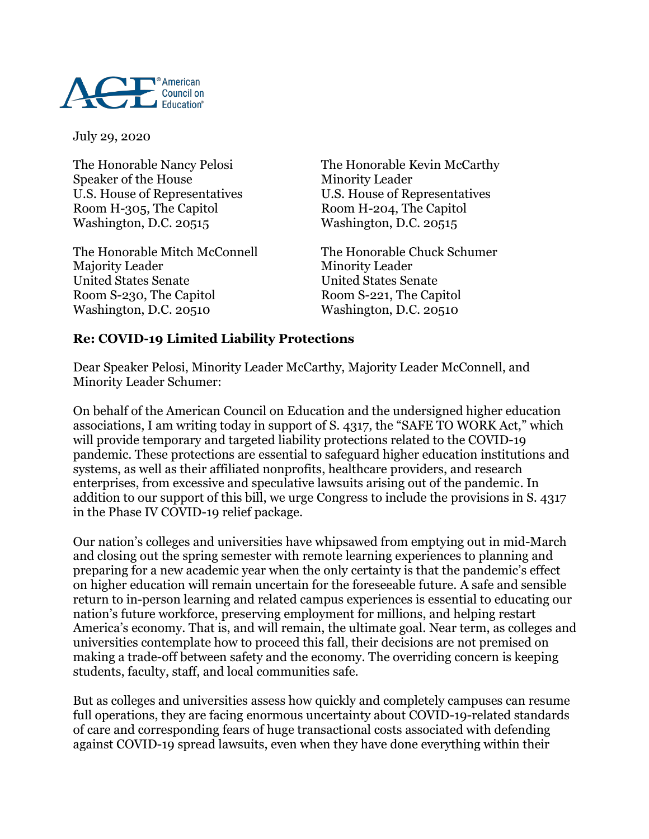

July 29, 2020

Speaker of the House Minority Leader Room H-305, The Capitol Room H-204, The Capitol Washington, D.C. 20515 Washington, D.C. 20515

The Honorable Mitch McConnell The Honorable Chuck Schumer Majority Leader Minority Leader United States Senate United States Senate Room S-230, The Capitol Room S-221, The Capitol Washington, D.C. 20510 Washington, D.C. 20510

The Honorable Nancy Pelosi The Honorable Kevin McCarthy U.S. House of Representatives U.S. House of Representatives

## **Re: COVID-19 Limited Liability Protections**

Dear Speaker Pelosi, Minority Leader McCarthy, Majority Leader McConnell, and Minority Leader Schumer:

On behalf of the American Council on Education and the undersigned higher education associations, I am writing today in support of S. 4317, the "SAFE TO WORK Act," which will provide temporary and targeted liability protections related to the COVID-19 pandemic. These protections are essential to safeguard higher education institutions and systems, as well as their affiliated nonprofits, healthcare providers, and research enterprises, from excessive and speculative lawsuits arising out of the pandemic. In addition to our support of this bill, we urge Congress to include the provisions in S. 4317 in the Phase IV COVID-19 relief package.

Our nation's colleges and universities have whipsawed from emptying out in mid-March and closing out the spring semester with remote learning experiences to planning and preparing for a new academic year when the only certainty is that the pandemic's effect on higher education will remain uncertain for the foreseeable future. A safe and sensible return to in-person learning and related campus experiences is essential to educating our nation's future workforce, preserving employment for millions, and helping restart America's economy. That is, and will remain, the ultimate goal. Near term, as colleges and universities contemplate how to proceed this fall, their decisions are not premised on making a trade-off between safety and the economy. The overriding concern is keeping students, faculty, staff, and local communities safe.

But as colleges and universities assess how quickly and completely campuses can resume full operations, they are facing enormous uncertainty about COVID-19-related standards of care and corresponding fears of huge transactional costs associated with defending against COVID-19 spread lawsuits, even when they have done everything within their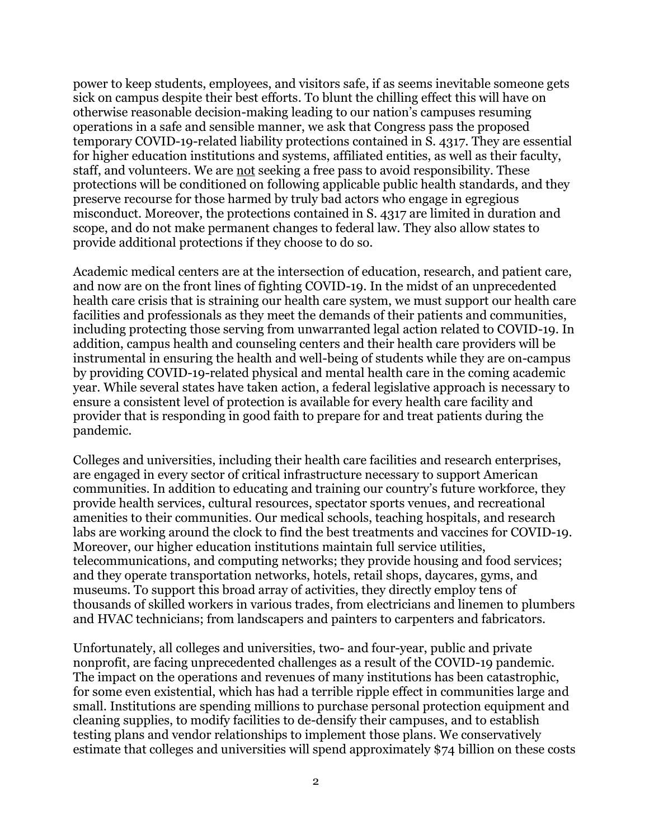power to keep students, employees, and visitors safe, if as seems inevitable someone gets sick on campus despite their best efforts. To blunt the chilling effect this will have on otherwise reasonable decision-making leading to our nation's campuses resuming operations in a safe and sensible manner, we ask that Congress pass the proposed temporary COVID-19-related liability protections contained in S. 4317. They are essential for higher education institutions and systems, affiliated entities, as well as their faculty, staff, and volunteers. We are not seeking a free pass to avoid responsibility. These protections will be conditioned on following applicable public health standards, and they preserve recourse for those harmed by truly bad actors who engage in egregious misconduct. Moreover, the protections contained in S. 4317 are limited in duration and scope, and do not make permanent changes to federal law. They also allow states to provide additional protections if they choose to do so.

Academic medical centers are at the intersection of education, research, and patient care, and now are on the front lines of fighting COVID-19. In the midst of an unprecedented health care crisis that is straining our health care system, we must support our health care facilities and professionals as they meet the demands of their patients and communities, including protecting those serving from unwarranted legal action related to COVID-19. In addition, campus health and counseling centers and their health care providers will be instrumental in ensuring the health and well-being of students while they are on-campus by providing COVID-19-related physical and mental health care in the coming academic year. While several states have taken action, a federal legislative approach is necessary to ensure a consistent level of protection is available for every health care facility and provider that is responding in good faith to prepare for and treat patients during the pandemic.

Colleges and universities, including their health care facilities and research enterprises, are engaged in every sector of critical infrastructure necessary to support American communities. In addition to educating and training our country's future workforce, they provide health services, cultural resources, spectator sports venues, and recreational amenities to their communities. Our medical schools, teaching hospitals, and research labs are working around the clock to find the best treatments and vaccines for COVID-19. Moreover, our higher education institutions maintain full service utilities, telecommunications, and computing networks; they provide housing and food services; and they operate transportation networks, hotels, retail shops, daycares, gyms, and museums. To support this broad array of activities, they directly employ tens of thousands of skilled workers in various trades, from electricians and linemen to plumbers and HVAC technicians; from landscapers and painters to carpenters and fabricators.

Unfortunately, all colleges and universities, two- and four-year, public and private nonprofit, are facing unprecedented challenges as a result of the COVID-19 pandemic. The impact on the operations and revenues of many institutions has been catastrophic, for some even existential, which has had a terrible ripple effect in communities large and small. Institutions are spending millions to purchase personal protection equipment and cleaning supplies, to modify facilities to de-densify their campuses, and to establish testing plans and vendor relationships to implement those plans. We conservatively estimate that colleges and universities will spend approximately \$74 billion on these costs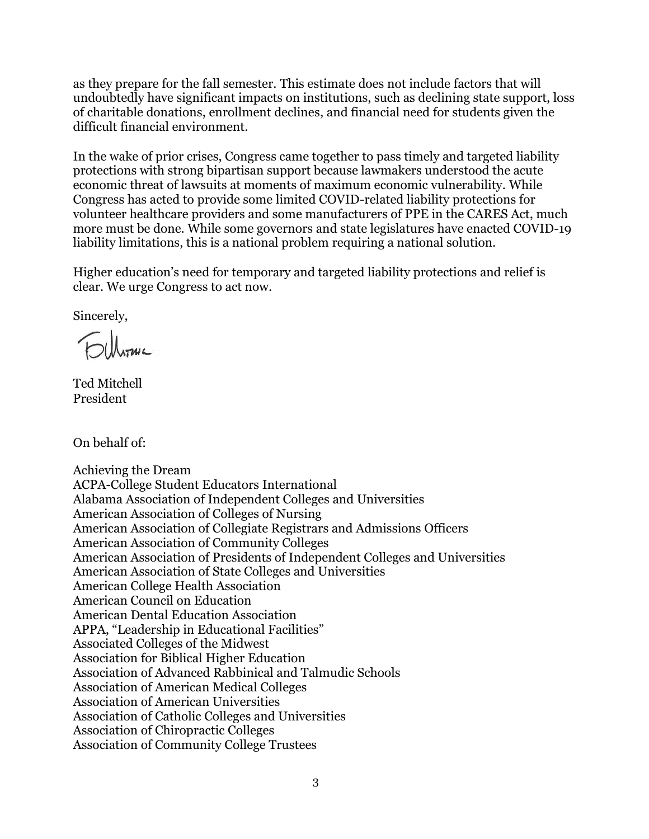as they prepare for the fall semester. This estimate does not include factors that will undoubtedly have significant impacts on institutions, such as declining state support, loss of charitable donations, enrollment declines, and financial need for students given the difficult financial environment.

In the wake of prior crises, Congress came together to pass timely and targeted liability protections with strong bipartisan support because lawmakers understood the acute economic threat of lawsuits at moments of maximum economic vulnerability. While Congress has acted to provide some limited COVID-related liability protections for volunteer healthcare providers and some manufacturers of PPE in the CARES Act, much more must be done. While some governors and state legislatures have enacted COVID-19 liability limitations, this is a national problem requiring a national solution.

Higher education's need for temporary and targeted liability protections and relief is clear. We urge Congress to act now.

Sincerely,

DU hour

Ted Mitchell President

On behalf of:

Achieving the Dream ACPA-College Student Educators International Alabama Association of Independent Colleges and Universities American Association of Colleges of Nursing American Association of Collegiate Registrars and Admissions Officers American Association of Community Colleges American Association of Presidents of Independent Colleges and Universities American Association of State Colleges and Universities American College Health Association American Council on Education American Dental Education Association APPA, "Leadership in Educational Facilities" Associated Colleges of the Midwest Association for Biblical Higher Education Association of Advanced Rabbinical and Talmudic Schools Association of American Medical Colleges Association of American Universities Association of Catholic Colleges and Universities Association of Chiropractic Colleges Association of Community College Trustees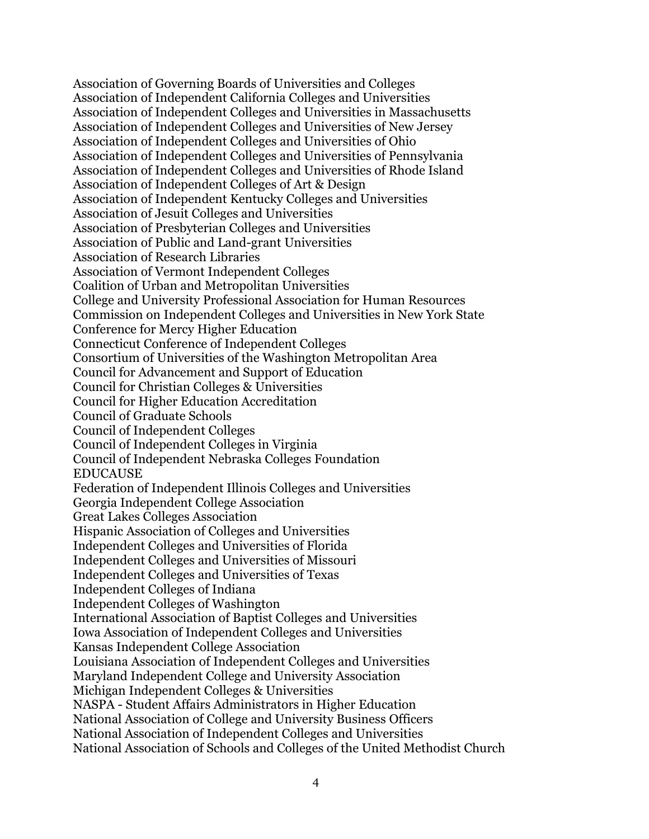Association of Governing Boards of Universities and Colleges Association of Independent California Colleges and Universities Association of Independent Colleges and Universities in Massachusetts Association of Independent Colleges and Universities of New Jersey Association of Independent Colleges and Universities of Ohio Association of Independent Colleges and Universities of Pennsylvania Association of Independent Colleges and Universities of Rhode Island Association of Independent Colleges of Art & Design Association of Independent Kentucky Colleges and Universities Association of Jesuit Colleges and Universities Association of Presbyterian Colleges and Universities Association of Public and Land-grant Universities Association of Research Libraries Association of Vermont Independent Colleges Coalition of Urban and Metropolitan Universities College and University Professional Association for Human Resources Commission on Independent Colleges and Universities in New York State Conference for Mercy Higher Education Connecticut Conference of Independent Colleges Consortium of Universities of the Washington Metropolitan Area Council for Advancement and Support of Education Council for Christian Colleges & Universities Council for Higher Education Accreditation Council of Graduate Schools Council of Independent Colleges Council of Independent Colleges in Virginia Council of Independent Nebraska Colleges Foundation EDUCAUSE Federation of Independent Illinois Colleges and Universities Georgia Independent College Association Great Lakes Colleges Association Hispanic Association of Colleges and Universities Independent Colleges and Universities of Florida Independent Colleges and Universities of Missouri Independent Colleges and Universities of Texas Independent Colleges of Indiana Independent Colleges of Washington International Association of Baptist Colleges and Universities Iowa Association of Independent Colleges and Universities Kansas Independent College Association Louisiana Association of Independent Colleges and Universities Maryland Independent College and University Association Michigan Independent Colleges & Universities NASPA - Student Affairs Administrators in Higher Education National Association of College and University Business Officers National Association of Independent Colleges and Universities National Association of Schools and Colleges of the United Methodist Church